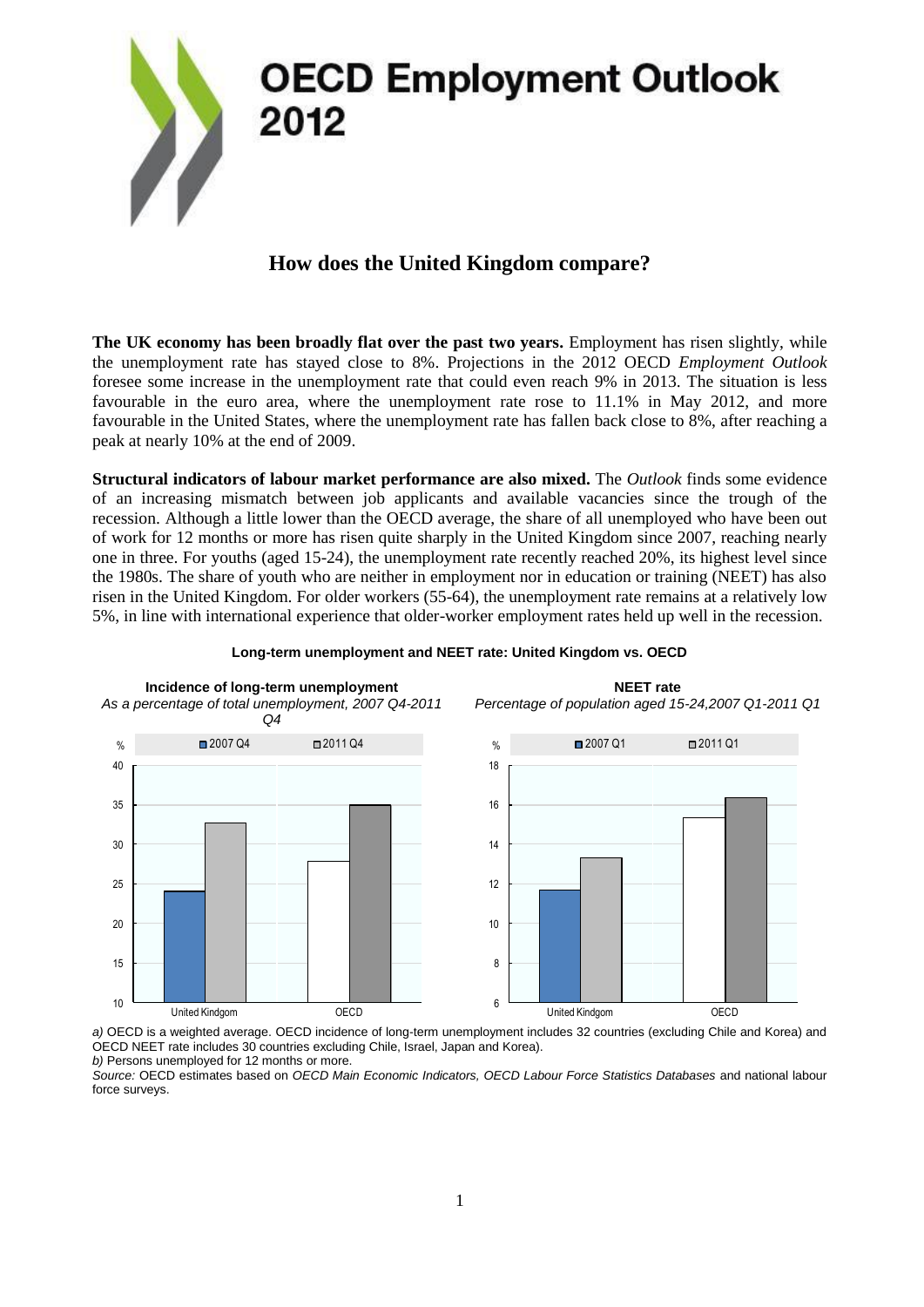

## **How does the United Kingdom compare?**

**The UK economy has been broadly flat over the past two years.** Employment has risen slightly, while the unemployment rate has stayed close to 8%. Projections in the 2012 OECD *Employment Outlook* foresee some increase in the unemployment rate that could even reach 9% in 2013. The situation is less favourable in the euro area, where the unemployment rate rose to 11.1% in May 2012, and more favourable in the United States, where the unemployment rate has fallen back close to 8%, after reaching a peak at nearly 10% at the end of 2009.

**Structural indicators of labour market performance are also mixed.** The *Outlook* finds some evidence of an increasing mismatch between job applicants and available vacancies since the trough of the recession. Although a little lower than the OECD average, the share of all unemployed who have been out of work for 12 months or more has risen quite sharply in the United Kingdom since 2007, reaching nearly one in three. For youths (aged 15-24), the unemployment rate recently reached 20%, its highest level since the 1980s. The share of youth who are neither in employment nor in education or training (NEET) has also risen in the United Kingdom. For older workers (55-64), the unemployment rate remains at a relatively low 5%, in line with international experience that older-worker employment rates held up well in the recession.



## **Long-term unemployment and NEET rate: United Kingdom vs. OECD**

*a)* OECD is a weighted average. OECD incidence of long-term unemployment includes 32 countries (excluding Chile and Korea) and OECD NEET rate includes 30 countries excluding Chile, Israel, Japan and Korea).

*b)* Persons unemployed for 12 months or more.

*Source:* OECD estimates based on *OECD Main Economic Indicators, OECD Labour Force Statistics Databases* and national labour force surveys.